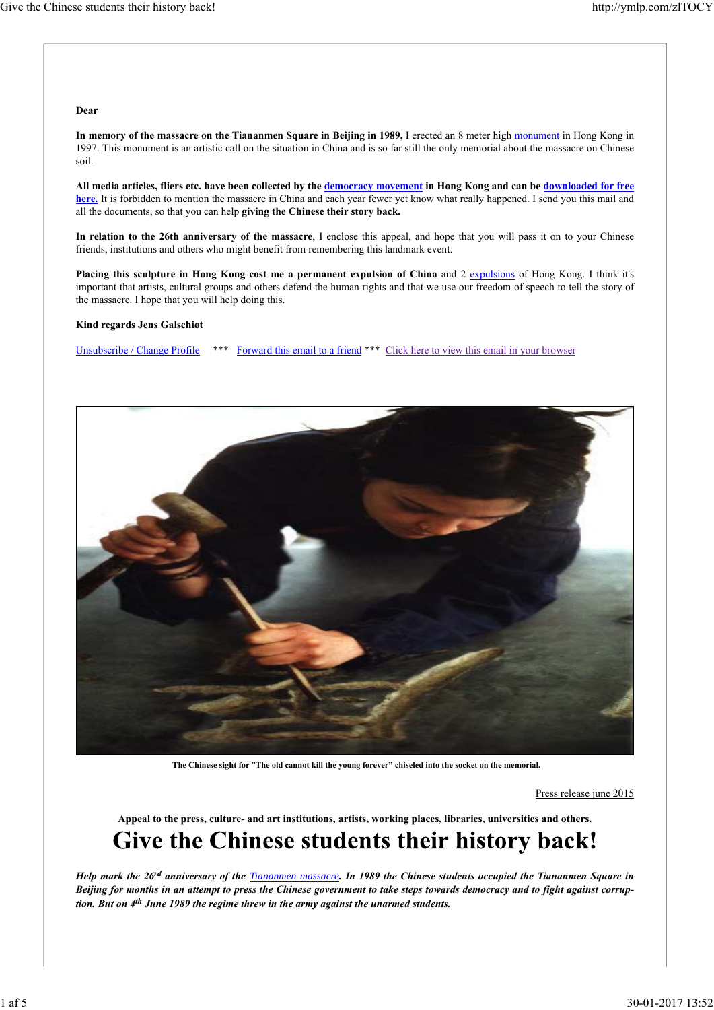### **Dear**

**In memory of the massacre on the Tiananmen Square in Beijing in 1989,** I erected an 8 meter high monument in Hong Kong in 1997. This monument is an artistic call on the situation in China and is so far still the only memorial about the massacre on Chinese soil.

**All media articles, fliers etc. have been collected by the democracy movement in Hong Kong and can be downloaded for free here.** It is forbidden to mention the massacre in China and each year fewer yet know what really happened. I send you this mail and all the documents, so that you can help **giving the Chinese their story back.**

**In relation to the 26th anniversary of the massacre**, I enclose this appeal, and hope that you will pass it on to your Chinese friends, institutions and others who might benefit from remembering this landmark event.

Placing this sculpture in Hong Kong cost me a permanent expulsion of China and 2 expulsions of Hong Kong. I think it's important that artists, cultural groups and others defend the human rights and that we use our freedom of speech to tell the story of the massacre. I hope that you will help doing this.

#### **Kind regards Jens Galschiøt**

Unsubscribe / Change Profile \*\*\* Forward this email to a friend \*\*\* Click here to view this email in your browser



**The Chinese sight for "The old cannot kill the young forever" chiseled into the socket on the memorial.**

Press release june 2015

**Appeal to the press, culture- and art institutions, artists, working places, libraries, universities and others.**

## Give the Chinese students their history back!

*Help mark the 26rd anniversary of the Tiananmen massacre. In 1989 the Chinese students occupied the Tiananmen Square in Beijing for months in an attempt to press the Chinese government to take steps towards democracy and to fight against corrup‐ tion. But on 4th June 1989 the regime threw in the army against the unarmed students.*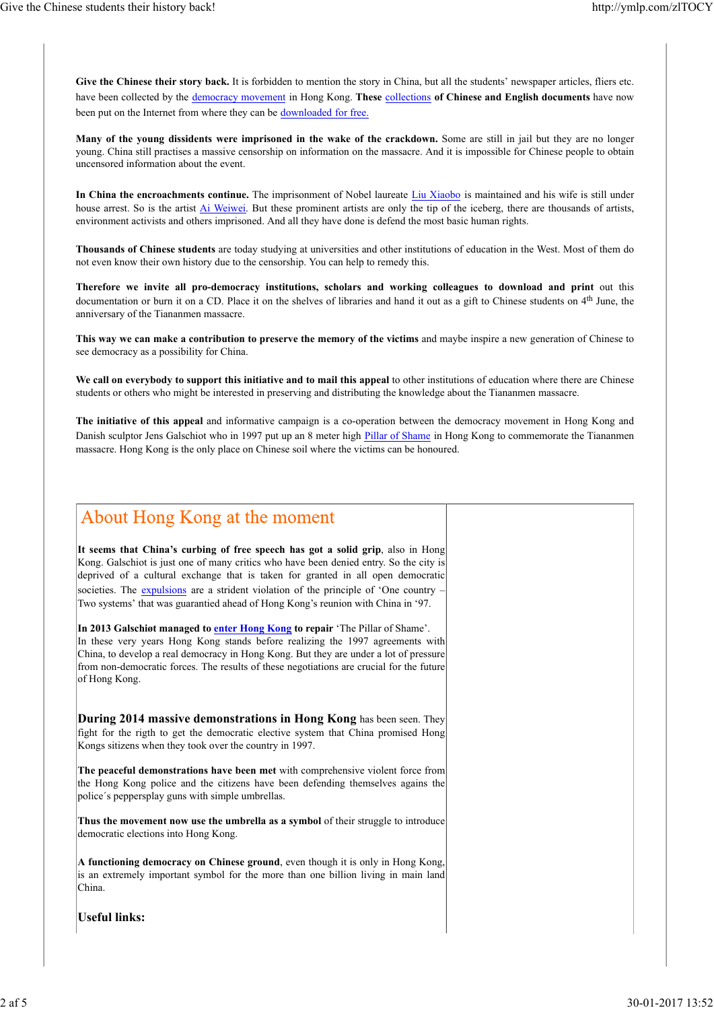Give the Chinese their story back. It is forbidden to mention the story in China, but all the students' newspaper articles, fliers etc. have been collected by the democracy movement in Hong Kong. **These** collections **of Chinese and English documents** have now been put on the Internet from where they can be downloaded for free.

**Many of the young dissidents were imprisoned in the wake of the crackdown.** Some are still in jail but they are no longer young. China still practises a massive censorship on information on the massacre. And it is impossible for Chinese people to obtain uncensored information about the event.

**In China the encroachments continue.** The imprisonment of Nobel laureate Liu Xiaobo is maintained and his wife is still under house arrest. So is the artist Ai Weiwei. But these prominent artists are only the tip of the iceberg, there are thousands of artists, environment activists and others imprisoned. And all they have done is defend the most basic human rights.

**Thousands of Chinese students** are today studying at universities and other institutions of education in the West. Most of them do not even know their own history due to the censorship. You can help to remedy this.

**Therefore we invite all pro-democracy institutions, scholars and working colleagues to download and print** out this documentation or burn it on a CD. Place it on the shelves of libraries and hand it out as a gift to Chinese students on 4<sup>th</sup> June, the anniversary of the Tiananmen massacre.

**This way we can make a contribution to preserve the memory of the victims** and maybe inspire a new generation of Chinese to see democracy as a possibility for China.

**We call on everybody to support this initiative and to mail this appeal** to other institutions of education where there are Chinese students or others who might be interested in preserving and distributing the knowledge about the Tiananmen massacre.

**The initiative of this appeal** and informative campaign is a co-operation between the democracy movement in Hong Kong and Danish sculptor Jens Galschiot who in 1997 put up an 8 meter high Pillar of Shame in Hong Kong to commemorate the Tiananmen massacre. Hong Kong is the only place on Chinese soil where the victims can be honoured.

### About Hong Kong at the moment

**It seems that China's curbing of free speech has got a solid grip**, also in Hong Kong. Galschiot is just one of many critics who have been denied entry. So the city is deprived of a cultural exchange that is taken for granted in all open democratic societies. The expulsions are a strident violation of the principle of 'One country -Two systems' that was guarantied ahead of Hong Kong's reunion with China in '97.

In 2013 Galschiøt managed to **enter Hong Kong** to repair 'The Pillar of Shame'. In these very years Hong Kong stands before realizing the 1997 agreements with China, to develop a real democracy in Hong Kong. But they are under a lot of pressure from non-democratic forces. The results of these negotiations are crucial for the future of Hong Kong.

**During 2014 massive demonstrations in Hong Kong** has been seen. They fight for the rigth to get the democratic elective system that China promised Hong Kongs sitizens when they took over the country in 1997.

**The peaceful demonstrations have been met** with comprehensive violent force from the Hong Kong police and the citizens have been defending themselves agains the police´s peppersplay guns with simple umbrellas.

**Thus the movement now use the umbrella as a symbol** of their struggle to introduce democratic elections into Hong Kong.

**A functioning democracy on Chinese ground**, even though it is only in Hong Kong, is an extremely important symbol for the more than one billion living in main land China.

**Useful links:**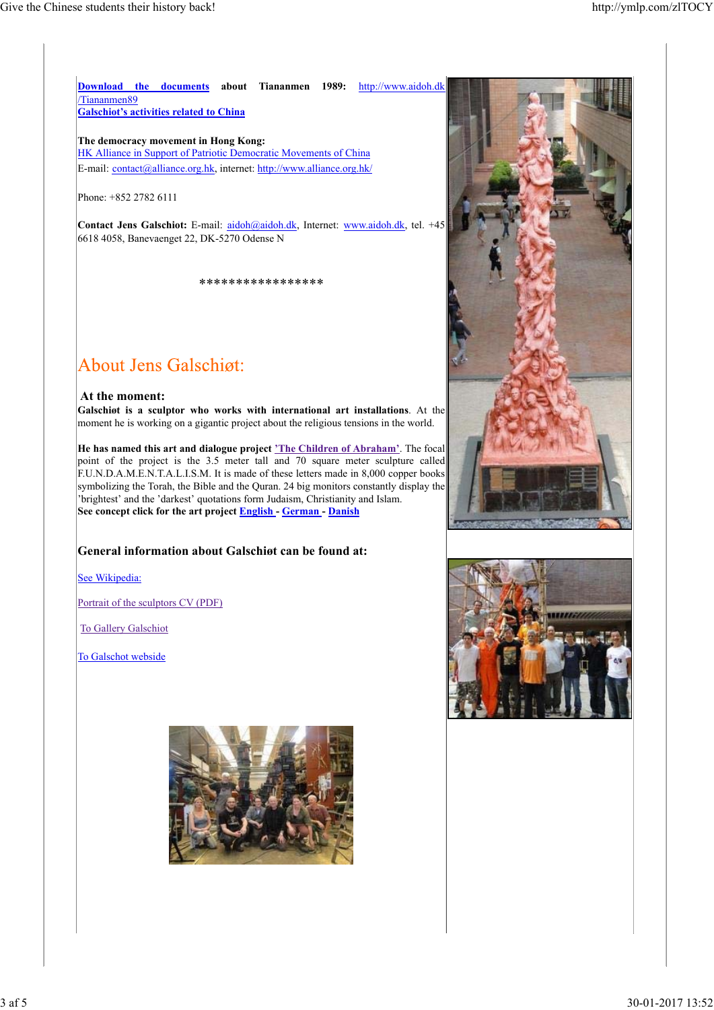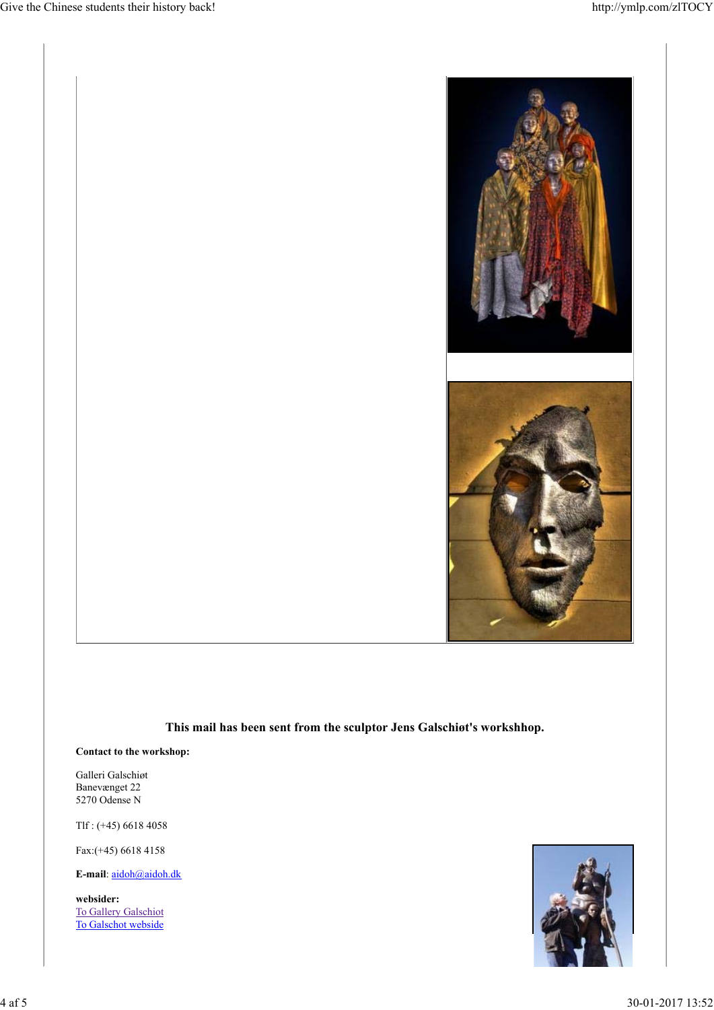

### **This mail has been sent from the sculptor Jens Galschiøt's workshhop.**

### **Contact to the workshop:**

Galleri Galschiøt Banevænget 22 5270 Odense N

Tlf : (+45) 6618 4058

Fax:(+45) 6618 4158

**E-mail**: aidoh@aidoh.dk

**websider:** To Gallery Galschiot To Galschot webside